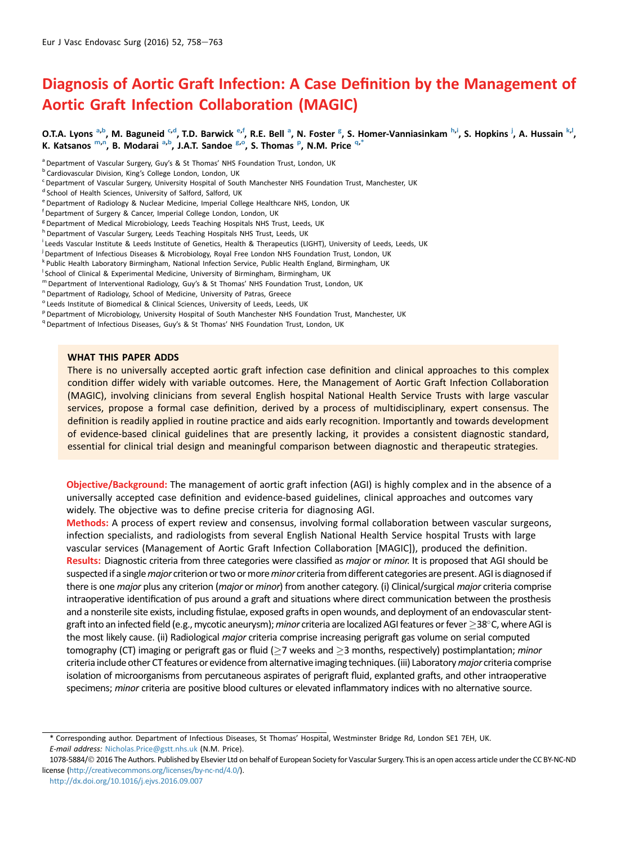# Diagnosis of Aortic Graft Infection: A Case Definition by the Management of Aortic Graft Infection Collaboration (MAGIC)

O.T.A. Lyons <sup>a,b</sup>, M. Baguneid <sup>c,d</sup>, T.D. Barwick <sup>e,f</sup>, R.E. Bell <sup>a</sup>, N. Foster <sup>g</sup>, S. Homer-Vanniasinkam <sup>h,i</sup>, S. Hopkins <sup>j</sup>, A. Hussain <sup>k, l</sup>, K. Katsanos m,n, B. Modarai a,b, J.A.T. Sandoe <sup>g,o</sup>, S. Thomas <sup>p</sup>, N.M. Price <sup>q,\*</sup>

h Department of Vascular Surgery, Leeds Teaching Hospitals NHS Trust, Leeds, UK

- j Department of Infectious Diseases & Microbiology, Royal Free London NHS Foundation Trust, London, UK
- <sup>k</sup> Public Health Laboratory Birmingham, National Infection Service, Public Health England, Birmingham, UK
- <sup>I</sup> School of Clinical & Experimental Medicine, University of Birmingham, Birmingham, UK
- <sup>m</sup> Department of Interventional Radiology, Guy's & St Thomas' NHS Foundation Trust, London, UK
- <sup>n</sup> Department of Radiology, School of Medicine, University of Patras, Greece
- <sup>o</sup> Leeds Institute of Biomedical & Clinical Sciences, University of Leeds, Leeds, UK
- P Department of Microbiology, University Hospital of South Manchester NHS Foundation Trust, Manchester, UK
- <sup>q</sup> Department of Infectious Diseases, Guy's & St Thomas' NHS Foundation Trust, London, UK

#### WHAT THIS PAPER ADDS

There is no universally accepted aortic graft infection case definition and clinical approaches to this complex condition differ widely with variable outcomes. Here, the Management of Aortic Graft Infection Collaboration (MAGIC), involving clinicians from several English hospital National Health Service Trusts with large vascular services, propose a formal case definition, derived by a process of multidisciplinary, expert consensus. The definition is readily applied in routine practice and aids early recognition. Importantly and towards development of evidence-based clinical guidelines that are presently lacking, it provides a consistent diagnostic standard, essential for clinical trial design and meaningful comparison between diagnostic and therapeutic strategies.

Objective/Background: The management of aortic graft infection (AGI) is highly complex and in the absence of a universally accepted case definition and evidence-based guidelines, clinical approaches and outcomes vary widely. The objective was to define precise criteria for diagnosing AGI.

Methods: A process of expert review and consensus, involving formal collaboration between vascular surgeons, infection specialists, and radiologists from several English National Health Service hospital Trusts with large vascular services (Management of Aortic Graft Infection Collaboration [MAGIC]), produced the definition. Results: Diagnostic criteria from three categories were classified as *major* or *minor*. It is proposed that AGI should be suspected if a single major criterion or two or more minor criteria from different categories are present. AGI is diagnosed if there is one major plus any criterion (major or minor) from another category. (i) Clinical/surgical major criteria comprise intraoperative identification of pus around a graft and situations where direct communication between the prosthesis and a nonsterile site exists, including fistulae, exposed grafts in open wounds, and deployment of an endovascular stentgraft into an infected field (e.g., mycotic aneurysm); minor criteria are localized AGI features or fever  $>$ 38 $^{\circ}$ C, where AGI is the most likely cause. (ii) Radiological major criteria comprise increasing perigraft gas volume on serial computed tomography (CT) imaging or perigraft gas or fluid ( $>7$  weeks and  $>3$  months, respectively) postimplantation; *minor* criteria include other CT features or evidence from alternative imaging techniques. (iii) Laboratory major criteria comprise isolation of microorganisms from percutaneous aspirates of perigraft fluid, explanted grafts, and other intraoperative specimens; minor criteria are positive blood cultures or elevated inflammatory indices with no alternative source.

<sup>&</sup>lt;sup>a</sup> Department of Vascular Surgery, Guy's & St Thomas' NHS Foundation Trust, London, UK

<sup>b</sup> Cardiovascular Division, King's College London, London, UK

<sup>&</sup>lt;sup>c</sup> Department of Vascular Surgery, University Hospital of South Manchester NHS Foundation Trust, Manchester, UK

<sup>&</sup>lt;sup>d</sup> School of Health Sciences, University of Salford, Salford, UK

<sup>e</sup> Department of Radiology & Nuclear Medicine, Imperial College Healthcare NHS, London, UK

f Department of Surgery & Cancer, Imperial College London, London, UK

<sup>&</sup>lt;sup>g</sup> Department of Medical Microbiology, Leeds Teaching Hospitals NHS Trust, Leeds, UK

<sup>&</sup>lt;sup>i</sup> Leeds Vascular Institute & Leeds Institute of Genetics, Health & Therapeutics (LIGHT), University of Leeds, Leeds, UK

<sup>\*</sup> Corresponding author. Department of Infectious Diseases, St Thomas' Hospital, Westminster Bridge Rd, London SE1 7EH, UK. E-mail address: [Nicholas.Price@gstt.nhs.uk](mailto:Nicholas.Price@gstt.nhs.uk) (N.M. Price).

<sup>1078-5884/© 2016</sup> The Authors. Published by Elsevier Ltd on behalf of European Society for Vascular Surgery. This is an open access article under the CC BY-NC-ND license [\(http://creativecommons.org/licenses/by-nc-nd/4.0/](http://creativecommons.org/licenses/by-nc-nd/4.0/)).

<http://dx.doi.org/10.1016/j.ejvs.2016.09.007>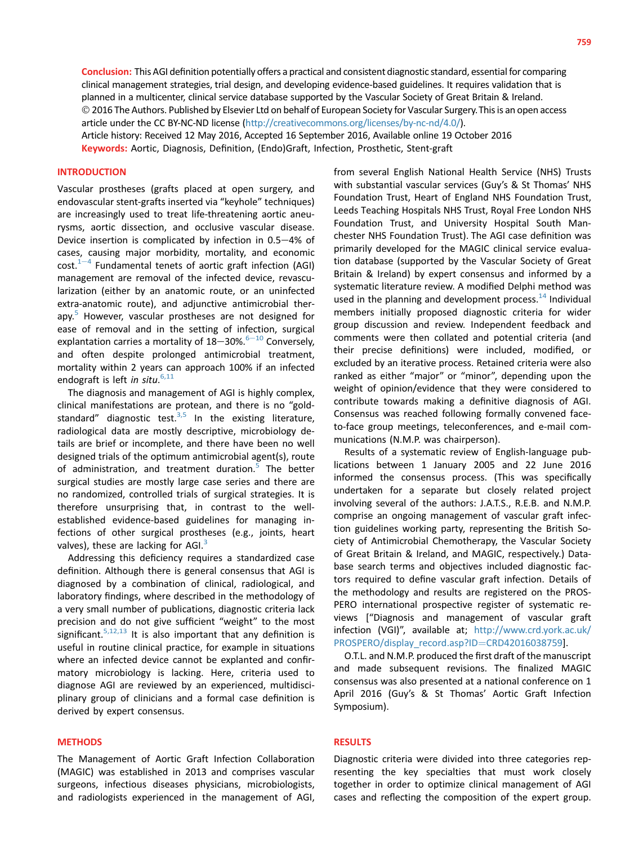Conclusion: This AGI definition potentially offers a practical and consistent diagnostic standard, essential for comparing clinical management strategies, trial design, and developing evidence-based guidelines. It requires validation that is planned in a multicenter, clinical service database supported by the Vascular Society of Great Britain & Ireland. 2016 The Authors. Published by Elsevier Ltd on behalf of European Society for Vascular Surgery.This is an open access article under the CC BY-NC-ND license ([http://creativecommons.org/licenses/by-nc-nd/4.0/\)](http://creativecommons.org/licenses/by-nc-nd/4.0/). Article history: Received 12 May 2016, Accepted 16 September 2016, Available online 19 October 2016

Keywords: Aortic, Diagnosis, Definition, (Endo)Graft, Infection, Prosthetic, Stent-graft

## INTRODUCTION

Vascular prostheses (grafts placed at open surgery, and endovascular stent-grafts inserted via "keyhole" techniques) are increasingly used to treat life-threatening aortic aneurysms, aortic dissection, and occlusive vascular disease. Device insertion is complicated by infection in  $0.5-4%$  of cases, causing major morbidity, mortality, and economic  $cost.<sup>1-4</sup>$  $cost.<sup>1-4</sup>$  $cost.<sup>1-4</sup>$  $cost.<sup>1-4</sup>$  $cost.<sup>1-4</sup>$  Fundamental tenets of aortic graft infection (AGI) management are removal of the infected device, revascularization (either by an anatomic route, or an uninfected extra-anatomic route), and adjunctive antimicrobial ther-apy.<sup>[5](#page-4-0)</sup> However, vascular prostheses are not designed for ease of removal and in the setting of infection, surgical explantation carries a mortality of  $18-30\%$ .<sup>[6](#page-4-0)-[10](#page-4-0)</sup> Conversely, and often despite prolonged antimicrobial treatment, mortality within 2 years can approach 100% if an infected endograft is left in situ.<sup>[6,11](#page-4-0)</sup>

The diagnosis and management of AGI is highly complex, clinical manifestations are protean, and there is no "goldstandard" diagnostic test. $3,5$  In the existing literature, radiological data are mostly descriptive, microbiology details are brief or incomplete, and there have been no well designed trials of the optimum antimicrobial agent(s), route of administration, and treatment duration.<sup>[5](#page-4-0)</sup> The better surgical studies are mostly large case series and there are no randomized, controlled trials of surgical strategies. It is therefore unsurprising that, in contrast to the wellestablished evidence-based guidelines for managing infections of other surgical prostheses (e.g., joints, heart valves), these are lacking for AGI. $3$ 

Addressing this deficiency requires a standardized case definition. Although there is general consensus that AGI is diagnosed by a combination of clinical, radiological, and laboratory findings, where described in the methodology of a very small number of publications, diagnostic criteria lack precision and do not give sufficient "weight" to the most significant.<sup>[5,12,13](#page-4-0)</sup> It is also important that any definition is useful in routine clinical practice, for example in situations where an infected device cannot be explanted and confirmatory microbiology is lacking. Here, criteria used to diagnose AGI are reviewed by an experienced, multidisciplinary group of clinicians and a formal case definition is derived by expert consensus.

## **METHODS**

The Management of Aortic Graft Infection Collaboration (MAGIC) was established in 2013 and comprises vascular surgeons, infectious diseases physicians, microbiologists, and radiologists experienced in the management of AGI, from several English National Health Service (NHS) Trusts with substantial vascular services (Guy's & St Thomas' NHS Foundation Trust, Heart of England NHS Foundation Trust, Leeds Teaching Hospitals NHS Trust, Royal Free London NHS Foundation Trust, and University Hospital South Manchester NHS Foundation Trust). The AGI case definition was primarily developed for the MAGIC clinical service evaluation database (supported by the Vascular Society of Great Britain & Ireland) by expert consensus and informed by a systematic literature review. A modified Delphi method was used in the planning and development process.<sup>14</sup> Individual members initially proposed diagnostic criteria for wider group discussion and review. Independent feedback and comments were then collated and potential criteria (and their precise definitions) were included, modified, or excluded by an iterative process. Retained criteria were also ranked as either "major" or "minor", depending upon the weight of opinion/evidence that they were considered to contribute towards making a definitive diagnosis of AGI. Consensus was reached following formally convened faceto-face group meetings, teleconferences, and e-mail communications (N.M.P. was chairperson).

Results of a systematic review of English-language publications between 1 January 2005 and 22 June 2016 informed the consensus process. (This was specifically undertaken for a separate but closely related project involving several of the authors: J.A.T.S., R.E.B. and N.M.P. comprise an ongoing management of vascular graft infection guidelines working party, representing the British Society of Antimicrobial Chemotherapy, the Vascular Society of Great Britain & Ireland, and MAGIC, respectively.) Database search terms and objectives included diagnostic factors required to define vascular graft infection. Details of the methodology and results are registered on the PROS-PERO international prospective register of systematic reviews ["Diagnosis and management of vascular graft infection (VGI)", available at; [http://www.crd.york.ac.uk/](http://www.crd.york.ac.uk/PROSPERO/display_record.asp?ID=CRD42016038759) [PROSPERO/display\\_record.asp?ID](http://www.crd.york.ac.uk/PROSPERO/display_record.asp?ID=CRD42016038759)=[CRD42016038759\]](http://www.crd.york.ac.uk/PROSPERO/display_record.asp?ID=CRD42016038759).

O.T.L. and N.M.P. produced the first draft of the manuscript and made subsequent revisions. The finalized MAGIC consensus was also presented at a national conference on 1 April 2016 (Guy's & St Thomas' Aortic Graft Infection Symposium).

## RESULTS

Diagnostic criteria were divided into three categories representing the key specialties that must work closely together in order to optimize clinical management of AGI cases and reflecting the composition of the expert group.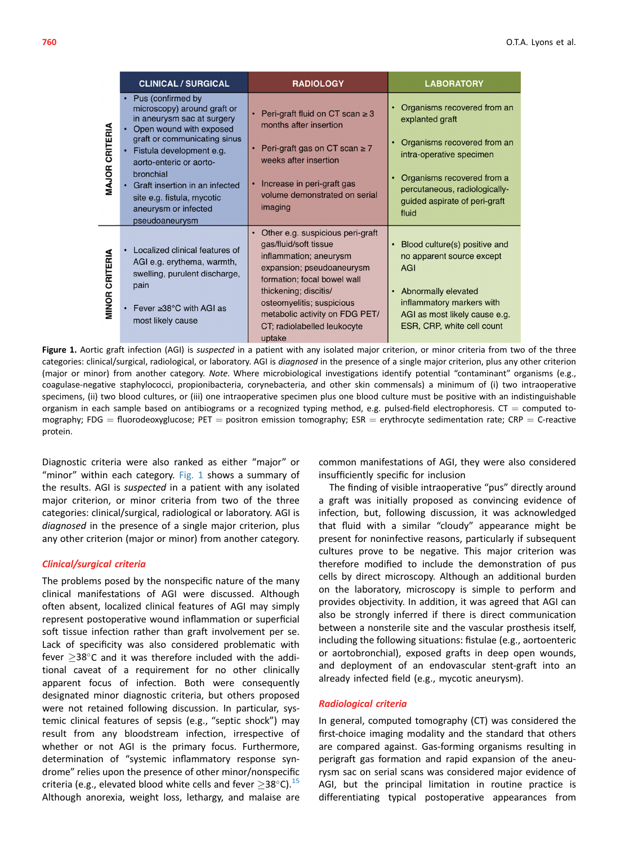|                   | <b>CLINICAL / SURGICAL</b>                                                                                                                                                                                                                                                                                           | <b>RADIOLOGY</b>                                                                                                                                                                                                                                                                              | <b>LABORATORY</b>                                                                                                                                                                                                            |
|-------------------|----------------------------------------------------------------------------------------------------------------------------------------------------------------------------------------------------------------------------------------------------------------------------------------------------------------------|-----------------------------------------------------------------------------------------------------------------------------------------------------------------------------------------------------------------------------------------------------------------------------------------------|------------------------------------------------------------------------------------------------------------------------------------------------------------------------------------------------------------------------------|
| CRITERIA<br>MAJOR | • Pus (confirmed by<br>microscopy) around graft or<br>in aneurysm sac at surgery<br>Open wound with exposed<br>graft or communicating sinus<br>Fistula development e.g.<br>$\bullet$<br>aorto-enteric or aorto-<br>bronchial<br>Graft insertion in an infected<br>site e.g. fistula, mycotic<br>aneurysm or infected | Peri-graft fluid on CT scan $\geq$ 3<br>months after insertion<br>Peri-graft gas on CT scan $\geq 7$<br>weeks after insertion<br>Increase in peri-graft gas<br>$\bullet$<br>volume demonstrated on serial<br>imaging                                                                          | Organisms recovered from an<br>٠<br>explanted graft<br>Organisms recovered from an<br>٠<br>intra-operative specimen<br>Organisms recovered from a<br>percutaneous, radiologically-<br>guided aspirate of peri-graft<br>fluid |
| CRITERIA<br>MINOR | pseudoaneurysm<br>Localized clinical features of<br>AGI e.g. erythema, warmth,<br>swelling, purulent discharge,<br>pain<br>Fever $\geq 38^{\circ}$ C with AGI as<br>$\bullet$<br>most likely cause                                                                                                                   | Other e.g. suspicious peri-graft<br>$\bullet$<br>gas/fluid/soft tissue<br>inflammation; aneurysm<br>expansion; pseudoaneurysm<br>formation; focal bowel wall<br>thickening; discitis/<br>osteomyelitis; suspicious<br>metabolic activity on FDG PET/<br>CT; radiolabelled leukocyte<br>uptake | Blood culture(s) positive and<br>$\bullet$<br>no apparent source except<br>AGI<br>Abnormally elevated<br>$\bullet$<br>inflammatory markers with<br>AGI as most likely cause e.g.<br>ESR, CRP, white cell count               |

Figure 1. Aortic graft infection (AGI) is *suspected* in a patient with any isolated major criterion, or minor criteria from two of the three categories: clinical/surgical, radiological, or laboratory. AGI is diagnosed in the presence of a single major criterion, plus any other criterion (major or minor) from another category. Note. Where microbiological investigations identify potential "contaminant" organisms (e.g., coagulase-negative staphylococci, propionibacteria, corynebacteria, and other skin commensals) a minimum of (i) two intraoperative specimens, (ii) two blood cultures, or (iii) one intraoperative specimen plus one blood culture must be positive with an indistinguishable organism in each sample based on antibiograms or a recognized typing method, e.g. pulsed-field electrophoresis.  $CT =$  computed tomography; FDG = fluorodeoxyglucose; PET = positron emission tomography; ESR = erythrocyte sedimentation rate; CRP = C-reactive protein.

Diagnostic criteria were also ranked as either "major" or "minor" within each category. Fig. 1 shows a summary of the results. AGI is suspected in a patient with any isolated major criterion, or minor criteria from two of the three categories: clinical/surgical, radiological or laboratory. AGI is diagnosed in the presence of a single major criterion, plus any other criterion (major or minor) from another category.

# Clinical/surgical criteria

The problems posed by the nonspecific nature of the many clinical manifestations of AGI were discussed. Although often absent, localized clinical features of AGI may simply represent postoperative wound inflammation or superficial soft tissue infection rather than graft involvement per se. Lack of specificity was also considered problematic with fever  $\geq$ 38°C and it was therefore included with the additional caveat of a requirement for no other clinically apparent focus of infection. Both were consequently designated minor diagnostic criteria, but others proposed were not retained following discussion. In particular, systemic clinical features of sepsis (e.g., "septic shock") may result from any bloodstream infection, irrespective of whether or not AGI is the primary focus. Furthermore, determination of "systemic inflammatory response syndrome" relies upon the presence of other minor/nonspecific criteria (e.g., elevated blood white cells and fever  $\geq$ 38°C).<sup>[15](#page-5-0)</sup> Although anorexia, weight loss, lethargy, and malaise are

common manifestations of AGI, they were also considered insufficiently specific for inclusion

The finding of visible intraoperative "pus" directly around a graft was initially proposed as convincing evidence of infection, but, following discussion, it was acknowledged that fluid with a similar "cloudy" appearance might be present for noninfective reasons, particularly if subsequent cultures prove to be negative. This major criterion was therefore modified to include the demonstration of pus cells by direct microscopy. Although an additional burden on the laboratory, microscopy is simple to perform and provides objectivity. In addition, it was agreed that AGI can also be strongly inferred if there is direct communication between a nonsterile site and the vascular prosthesis itself, including the following situations: fistulae (e.g., aortoenteric or aortobronchial), exposed grafts in deep open wounds, and deployment of an endovascular stent-graft into an already infected field (e.g., mycotic aneurysm).

#### Radiological criteria

In general, computed tomography (CT) was considered the first-choice imaging modality and the standard that others are compared against. Gas-forming organisms resulting in perigraft gas formation and rapid expansion of the aneurysm sac on serial scans was considered major evidence of AGI, but the principal limitation in routine practice is differentiating typical postoperative appearances from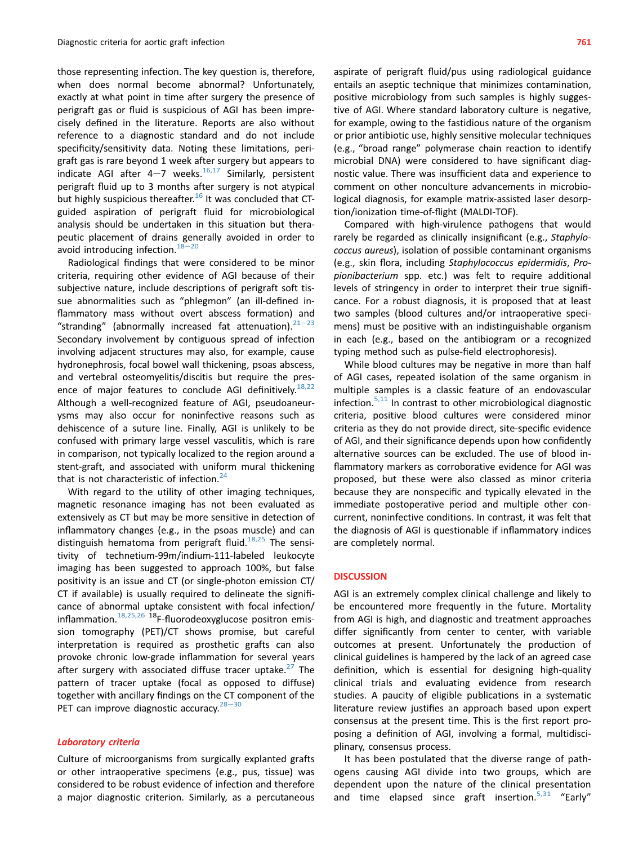those representing infection. The key question is, therefore, when does normal become abnormal? Unfortunately, exactly at what point in time after surgery the presence of perigraft gas or fluid is suspicious of AGI has been imprecisely defined in the literature. Reports are also without reference to a diagnostic standard and do not include specificity/sensitivity data. Noting these limitations, perigraft gas is rare beyond 1 week after surgery but appears to indicate AGI after  $4-7$  weeks.<sup>[16,17](#page-5-0)</sup> Similarly, persistent perigraft fluid up to 3 months after surgery is not atypical but highly suspicious thereafter.<sup>[16](#page-5-0)</sup> It was concluded that CTguided aspiration of perigraft fluid for microbiological analysis should be undertaken in this situation but therapeutic placement of drains generally avoided in order to avoid introducing infection.  $18-20$  $18-20$  $18-20$ 

Radiological findings that were considered to be minor criteria, requiring other evidence of AGI because of their subjective nature, include descriptions of perigraft soft tissue abnormalities such as "phlegmon" (an ill-defined inflammatory mass without overt abscess formation) and "stranding" (abnormally increased fat attenuation). $21-23$  $21-23$  $21-23$ Secondary involvement by contiguous spread of infection involving adjacent structures may also, for example, cause hydronephrosis, focal bowel wall thickening, psoas abscess, and vertebral osteomyelitis/discitis but require the pres-ence of major features to conclude AGI definitively.<sup>[18,22](#page-5-0)</sup> Although a well-recognized feature of AGI, pseudoaneurysms may also occur for noninfective reasons such as dehiscence of a suture line. Finally, AGI is unlikely to be confused with primary large vessel vasculitis, which is rare in comparison, not typically localized to the region around a stent-graft, and associated with uniform mural thickening that is not characteristic of infection. $24$ 

With regard to the utility of other imaging techniques, magnetic resonance imaging has not been evaluated as extensively as CT but may be more sensitive in detection of inflammatory changes (e.g., in the psoas muscle) and can distinguish hematoma from perigraft fluid. $^{18,25}$  $^{18,25}$  $^{18,25}$  The sensitivity of technetium-99m/indium-111-labeled leukocyte imaging has been suggested to approach 100%, but false positivity is an issue and CT (or single-photon emission CT/ CT if available) is usually required to delineate the significance of abnormal uptake consistent with focal infection/ inflammation. $18,25,26$  18F-fluorodeoxyglucose positron emission tomography (PET)/CT shows promise, but careful interpretation is required as prosthetic grafts can also provoke chronic low-grade inflammation for several years after surgery with associated diffuse tracer uptake. $27$  The pattern of tracer uptake (focal as opposed to diffuse) together with ancillary findings on the CT component of the PET can improve diagnostic accuracy. $28-30$  $28-30$  $28-30$ 

#### Laboratory criteria

Culture of microorganisms from surgically explanted grafts or other intraoperative specimens (e.g., pus, tissue) was considered to be robust evidence of infection and therefore a major diagnostic criterion. Similarly, as a percutaneous

aspirate of perigraft fluid/pus using radiological guidance entails an aseptic technique that minimizes contamination, positive microbiology from such samples is highly suggestive of AGI. Where standard laboratory culture is negative, for example, owing to the fastidious nature of the organism or prior antibiotic use, highly sensitive molecular techniques (e.g., "broad range" polymerase chain reaction to identify microbial DNA) were considered to have significant diagnostic value. There was insufficient data and experience to comment on other nonculture advancements in microbiological diagnosis, for example matrix-assisted laser desorption/ionization time-of-flight (MALDI-TOF).

Compared with high-virulence pathogens that would rarely be regarded as clinically insignificant (e.g., Staphylococcus aureus), isolation of possible contaminant organisms (e.g., skin flora, including Staphylococcus epidermidis, Propionibacterium spp. etc.) was felt to require additional levels of stringency in order to interpret their true significance. For a robust diagnosis, it is proposed that at least two samples (blood cultures and/or intraoperative specimens) must be positive with an indistinguishable organism in each (e.g., based on the antibiogram or a recognized typing method such as pulse-field electrophoresis).

While blood cultures may be negative in more than half of AGI cases, repeated isolation of the same organism in multiple samples is a classic feature of an endovascular infection. $5,11$  In contrast to other microbiological diagnostic criteria, positive blood cultures were considered minor criteria as they do not provide direct, site-specific evidence of AGI, and their significance depends upon how confidently alternative sources can be excluded. The use of blood inflammatory markers as corroborative evidence for AGI was proposed, but these were also classed as minor criteria because they are nonspecific and typically elevated in the immediate postoperative period and multiple other concurrent, noninfective conditions. In contrast, it was felt that the diagnosis of AGI is questionable if inflammatory indices are completely normal.

#### **DISCUSSION**

AGI is an extremely complex clinical challenge and likely to be encountered more frequently in the future. Mortality from AGI is high, and diagnostic and treatment approaches differ significantly from center to center, with variable outcomes at present. Unfortunately the production of clinical guidelines is hampered by the lack of an agreed case definition, which is essential for designing high-quality clinical trials and evaluating evidence from research studies. A paucity of eligible publications in a systematic literature review justifies an approach based upon expert consensus at the present time. This is the first report proposing a definition of AGI, involving a formal, multidisciplinary, consensus process.

It has been postulated that the diverse range of pathogens causing AGI divide into two groups, which are dependent upon the nature of the clinical presentation and time elapsed since graft insertion.<sup>[5,31](#page-4-0)</sup> "Early"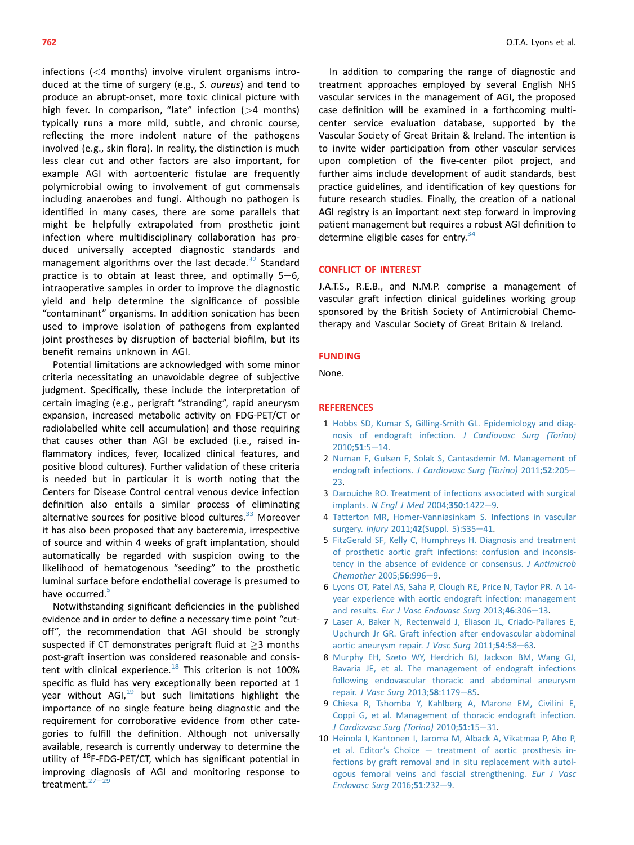<span id="page-4-0"></span>infections (<4 months) involve virulent organisms introduced at the time of surgery (e.g., S. aureus) and tend to produce an abrupt-onset, more toxic clinical picture with high fever. In comparison, "late" infection (>4 months) typically runs a more mild, subtle, and chronic course, reflecting the more indolent nature of the pathogens involved (e.g., skin flora). In reality, the distinction is much less clear cut and other factors are also important, for example AGI with aortoenteric fistulae are frequently polymicrobial owing to involvement of gut commensals including anaerobes and fungi. Although no pathogen is identified in many cases, there are some parallels that might be helpfully extrapolated from prosthetic joint infection where multidisciplinary collaboration has produced universally accepted diagnostic standards and management algorithms over the last decade.<sup>[32](#page-5-0)</sup> Standard practice is to obtain at least three, and optimally  $5-6$ , intraoperative samples in order to improve the diagnostic yield and help determine the significance of possible "contaminant" organisms. In addition sonication has been used to improve isolation of pathogens from explanted joint prostheses by disruption of bacterial biofilm, but its benefit remains unknown in AGI.

Potential limitations are acknowledged with some minor criteria necessitating an unavoidable degree of subjective judgment. Specifically, these include the interpretation of certain imaging (e.g., perigraft "stranding", rapid aneurysm expansion, increased metabolic activity on FDG-PET/CT or radiolabelled white cell accumulation) and those requiring that causes other than AGI be excluded (i.e., raised inflammatory indices, fever, localized clinical features, and positive blood cultures). Further validation of these criteria is needed but in particular it is worth noting that the Centers for Disease Control central venous device infection definition also entails a similar process of eliminating alternative sources for positive blood cultures. $33$  Moreover it has also been proposed that any bacteremia, irrespective of source and within 4 weeks of graft implantation, should automatically be regarded with suspicion owing to the likelihood of hematogenous "seeding" to the prosthetic luminal surface before endothelial coverage is presumed to have occurred.<sup>5</sup>

Notwithstanding significant deficiencies in the published evidence and in order to define a necessary time point "cutoff", the recommendation that AGI should be strongly suspected if CT demonstrates perigraft fluid at  $>$ 3 months post-graft insertion was considered reasonable and consistent with clinical experience. $18$  This criterion is not 100% specific as fluid has very exceptionally been reported at 1 year without AGI,<sup>[19](#page-5-0)</sup> but such limitations highlight the importance of no single feature being diagnostic and the requirement for corroborative evidence from other categories to fulfill the definition. Although not universally available, research is currently underway to determine the utility of  $^{18}$ F-FDG-PET/CT, which has significant potential in improving diagnosis of AGI and monitoring response to treatment. $27-29$  $27-29$  $27-29$ 

In addition to comparing the range of diagnostic and treatment approaches employed by several English NHS vascular services in the management of AGI, the proposed case definition will be examined in a forthcoming multicenter service evaluation database, supported by the Vascular Society of Great Britain & Ireland. The intention is to invite wider participation from other vascular services upon completion of the five-center pilot project, and further aims include development of audit standards, best practice guidelines, and identification of key questions for future research studies. Finally, the creation of a national AGI registry is an important next step forward in improving patient management but requires a robust AGI definition to determine eligible cases for entry. $34$ 

## CONFLICT OF INTEREST

J.A.T.S., R.E.B., and N.M.P. comprise a management of vascular graft infection clinical guidelines working group sponsored by the British Society of Antimicrobial Chemotherapy and Vascular Society of Great Britain & Ireland.

#### FUNDING

None.

#### REFERENCES

- 1 [Hobbs SD, Kumar S, Gilling-Smith GL. Epidemiology and diag](http://refhub.elsevier.com/S1078-5884(16)30471-3/sref1)[nosis of endograft infection.](http://refhub.elsevier.com/S1078-5884(16)30471-3/sref1) J Cardiovasc Surg (Torino)  $2010;51:5-14.$  $2010;51:5-14.$  $2010;51:5-14.$  $2010;51:5-14.$
- 2 [Numan F, Gulsen F, Solak S, Cantasdemir M. Management of](http://refhub.elsevier.com/S1078-5884(16)30471-3/sref2) endograft infections. [J Cardiovasc Surg \(Torino\)](http://refhub.elsevier.com/S1078-5884(16)30471-3/sref2) 2011;52:205-[23.](http://refhub.elsevier.com/S1078-5884(16)30471-3/sref2)
- 3 [Darouiche RO. Treatment of infections associated with surgical](http://refhub.elsevier.com/S1078-5884(16)30471-3/sref3) implants. [N Engl J Med](http://refhub.elsevier.com/S1078-5884(16)30471-3/sref3) 2004;350:1422-[9.](http://refhub.elsevier.com/S1078-5884(16)30471-3/sref3)
- 4 [Tatterton MR, Homer-Vanniasinkam S. Infections in vascular](http://refhub.elsevier.com/S1078-5884(16)30471-3/sref4) surgery. Injury 2011;42[\(Suppl. 5\):S35](http://refhub.elsevier.com/S1078-5884(16)30471-3/sref4)-[41](http://refhub.elsevier.com/S1078-5884(16)30471-3/sref4).
- 5 [FitzGerald SF, Kelly C, Humphreys H. Diagnosis and treatment](http://refhub.elsevier.com/S1078-5884(16)30471-3/sref5) [of prosthetic aortic graft infections: confusion and inconsis](http://refhub.elsevier.com/S1078-5884(16)30471-3/sref5)[tency in the absence of evidence or consensus.](http://refhub.elsevier.com/S1078-5884(16)30471-3/sref5) J Antimicrob [Chemother](http://refhub.elsevier.com/S1078-5884(16)30471-3/sref5) 2005;56:996-[9.](http://refhub.elsevier.com/S1078-5884(16)30471-3/sref5)
- 6 [Lyons OT, Patel AS, Saha P, Clough RE, Price N, Taylor PR. A 14](http://refhub.elsevier.com/S1078-5884(16)30471-3/sref6) [year experience with aortic endograft infection: management](http://refhub.elsevier.com/S1078-5884(16)30471-3/sref6) and results. [Eur J Vasc Endovasc Surg](http://refhub.elsevier.com/S1078-5884(16)30471-3/sref6) 20[13](http://refhub.elsevier.com/S1078-5884(16)30471-3/sref6);46:306-13.
- 7 [Laser A, Baker N, Rectenwald J, Eliason JL, Criado-Pallares E,](http://refhub.elsevier.com/S1078-5884(16)30471-3/sref7) [Upchurch Jr GR. Graft infection after endovascular abdominal](http://refhub.elsevier.com/S1078-5884(16)30471-3/sref7) [aortic aneurysm repair.](http://refhub.elsevier.com/S1078-5884(16)30471-3/sref7) J Vasc Surg  $2011;54:58-63$ .
- 8 [Murphy EH, Szeto WY, Herdrich BJ, Jackson BM, Wang GJ,](http://refhub.elsevier.com/S1078-5884(16)30471-3/sref8) [Bavaria JE, et al. The management of endograft infections](http://refhub.elsevier.com/S1078-5884(16)30471-3/sref8) [following endovascular thoracic and abdominal aneurysm](http://refhub.elsevier.com/S1078-5884(16)30471-3/sref8) repair. [J Vasc Surg](http://refhub.elsevier.com/S1078-5884(16)30471-3/sref8) 2013;58:1179-[85](http://refhub.elsevier.com/S1078-5884(16)30471-3/sref8).
- 9 [Chiesa R, Tshomba Y, Kahlberg A, Marone EM, Civilini E,](http://refhub.elsevier.com/S1078-5884(16)30471-3/sref9) [Coppi G, et al. Management of thoracic endograft infection.](http://refhub.elsevier.com/S1078-5884(16)30471-3/sref9) [J Cardiovasc Surg \(Torino\)](http://refhub.elsevier.com/S1078-5884(16)30471-3/sref9) 2010;51:15-[31.](http://refhub.elsevier.com/S1078-5884(16)30471-3/sref9)
- 10 [Heinola I, Kantonen I, Jaroma M, Alback A, Vikatmaa P, Aho P,](http://refhub.elsevier.com/S1078-5884(16)30471-3/sref10) [et al. Editor](http://refhub.elsevier.com/S1078-5884(16)30471-3/sref10)'s Choice  $-$  [treatment of aortic prosthesis in](http://refhub.elsevier.com/S1078-5884(16)30471-3/sref10)[fections by graft removal and in situ replacement with autol](http://refhub.elsevier.com/S1078-5884(16)30471-3/sref10)[ogous femoral veins and fascial strengthening.](http://refhub.elsevier.com/S1078-5884(16)30471-3/sref10) Eur J Vasc [Endovasc Surg](http://refhub.elsevier.com/S1078-5884(16)30471-3/sref10) 2016;51:232-[9.](http://refhub.elsevier.com/S1078-5884(16)30471-3/sref10)